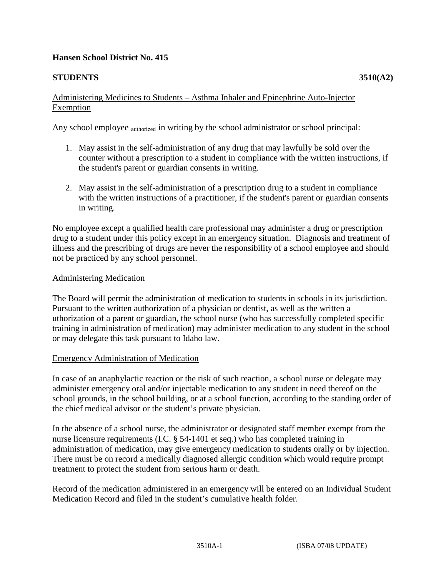# **Hansen School District No. 415**

# **STUDENTS 3510(A2)**

#### Administering Medicines to Students – Asthma Inhaler and Epinephrine Auto-Injector Exemption

Any school employee authorized in writing by the school administrator or school principal:

- 1. May assist in the self-administration of any drug that may lawfully be sold over the counter without a prescription to a student in compliance with the written instructions, if the student's parent or guardian consents in writing.
- 2. May assist in the self-administration of a prescription drug to a student in compliance with the written instructions of a practitioner, if the student's parent or guardian consents in writing.

No employee except a qualified health care professional may administer a drug or prescription drug to a student under this policy except in an emergency situation. Diagnosis and treatment of illness and the prescribing of drugs are never the responsibility of a school employee and should not be practiced by any school personnel.

# Administering Medication

The Board will permit the administration of medication to students in schools in its jurisdiction. Pursuant to the written authorization of a physician or dentist, as well as the written a uthorization of a parent or guardian, the school nurse (who has successfully completed specific training in administration of medication) may administer medication to any student in the school or may delegate this task pursuant to Idaho law.

# Emergency Administration of Medication

In case of an anaphylactic reaction or the risk of such reaction, a school nurse or delegate may administer emergency oral and/or injectable medication to any student in need thereof on the school grounds, in the school building, or at a school function, according to the standing order of the chief medical advisor or the student's private physician.

In the absence of a school nurse, the administrator or designated staff member exempt from the nurse licensure requirements (I.C. § 54-1401 et seq.) who has completed training in administration of medication, may give emergency medication to students orally or by injection. There must be on record a medically diagnosed allergic condition which would require prompt treatment to protect the student from serious harm or death.

Record of the medication administered in an emergency will be entered on an Individual Student Medication Record and filed in the student's cumulative health folder.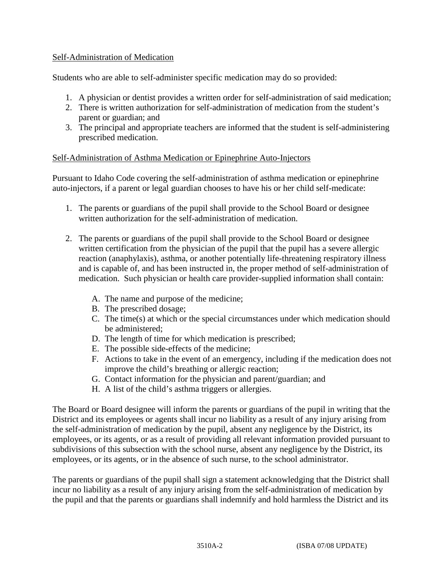#### Self-Administration of Medication

Students who are able to self-administer specific medication may do so provided:

- 1. A physician or dentist provides a written order for self-administration of said medication;
- 2. There is written authorization for self-administration of medication from the student's parent or guardian; and
- 3. The principal and appropriate teachers are informed that the student is self-administering prescribed medication.

#### Self-Administration of Asthma Medication or Epinephrine Auto-Injectors

Pursuant to Idaho Code covering the self-administration of asthma medication or epinephrine auto-injectors, if a parent or legal guardian chooses to have his or her child self-medicate:

- 1. The parents or guardians of the pupil shall provide to the School Board or designee written authorization for the self-administration of medication.
- 2. The parents or guardians of the pupil shall provide to the School Board or designee written certification from the physician of the pupil that the pupil has a severe allergic reaction (anaphylaxis), asthma, or another potentially life-threatening respiratory illness and is capable of, and has been instructed in, the proper method of self-administration of medication. Such physician or health care provider-supplied information shall contain:
	- A. The name and purpose of the medicine;
	- B. The prescribed dosage;
	- C. The time(s) at which or the special circumstances under which medication should be administered;
	- D. The length of time for which medication is prescribed;
	- E. The possible side-effects of the medicine;
	- F. Actions to take in the event of an emergency, including if the medication does not improve the child's breathing or allergic reaction;
	- G. Contact information for the physician and parent/guardian; and
	- H. A list of the child's asthma triggers or allergies.

The Board or Board designee will inform the parents or guardians of the pupil in writing that the District and its employees or agents shall incur no liability as a result of any injury arising from the self-administration of medication by the pupil, absent any negligence by the District, its employees, or its agents, or as a result of providing all relevant information provided pursuant to subdivisions of this subsection with the school nurse, absent any negligence by the District, its employees, or its agents, or in the absence of such nurse, to the school administrator.

The parents or guardians of the pupil shall sign a statement acknowledging that the District shall incur no liability as a result of any injury arising from the self-administration of medication by the pupil and that the parents or guardians shall indemnify and hold harmless the District and its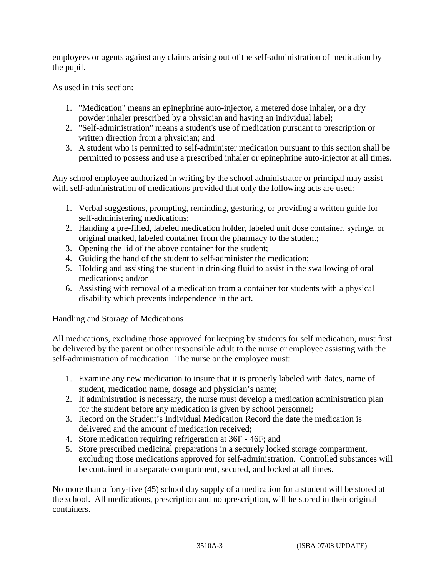employees or agents against any claims arising out of the self-administration of medication by the pupil.

As used in this section:

- 1. "Medication" means an epinephrine auto-injector, a metered dose inhaler, or a dry powder inhaler prescribed by a physician and having an individual label;
- 2. "Self-administration" means a student's use of medication pursuant to prescription or written direction from a physician; and
- 3. A student who is permitted to self-administer medication pursuant to this section shall be permitted to possess and use a prescribed inhaler or epinephrine auto-injector at all times.

Any school employee authorized in writing by the school administrator or principal may assist with self-administration of medications provided that only the following acts are used:

- 1. Verbal suggestions, prompting, reminding, gesturing, or providing a written guide for self-administering medications;
- 2. Handing a pre-filled, labeled medication holder, labeled unit dose container, syringe, or original marked, labeled container from the pharmacy to the student;
- 3. Opening the lid of the above container for the student;
- 4. Guiding the hand of the student to self-administer the medication;
- 5. Holding and assisting the student in drinking fluid to assist in the swallowing of oral medications; and/or
- 6. Assisting with removal of a medication from a container for students with a physical disability which prevents independence in the act.

# Handling and Storage of Medications

All medications, excluding those approved for keeping by students for self medication, must first be delivered by the parent or other responsible adult to the nurse or employee assisting with the self-administration of medication. The nurse or the employee must:

- 1. Examine any new medication to insure that it is properly labeled with dates, name of student, medication name, dosage and physician's name;
- 2. If administration is necessary, the nurse must develop a medication administration plan for the student before any medication is given by school personnel;
- 3. Record on the Student's Individual Medication Record the date the medication is delivered and the amount of medication received;
- 4. Store medication requiring refrigeration at 36F 46F; and
- 5. Store prescribed medicinal preparations in a securely locked storage compartment, excluding those medications approved for self-administration. Controlled substances will be contained in a separate compartment, secured, and locked at all times.

No more than a forty-five (45) school day supply of a medication for a student will be stored at the school. All medications, prescription and nonprescription, will be stored in their original containers.